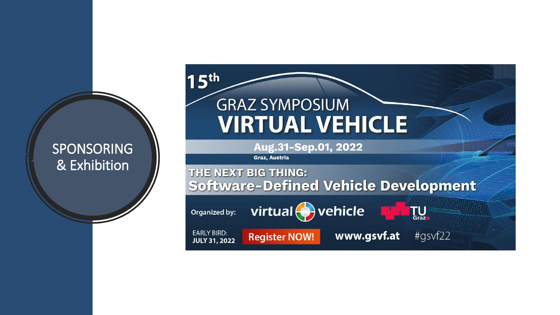#### SPONSORING & Exhibition

# $15<sup>th</sup>$ **GRAZ SYMPOSIUM VIRTUAL VEHICLE**

Aug.31-Sep.01, 2022

Graz, Austria

#### THE NEXT BIG THING: **Software-Defined Vehicle Development**

Organized by:

virtual $\bigodot$  vehicle

**EARLY BIRD: JULY 31, 2022** 

**Register NOW!** 

www.gsvf.at #gsvf22

**TU**<br>Graz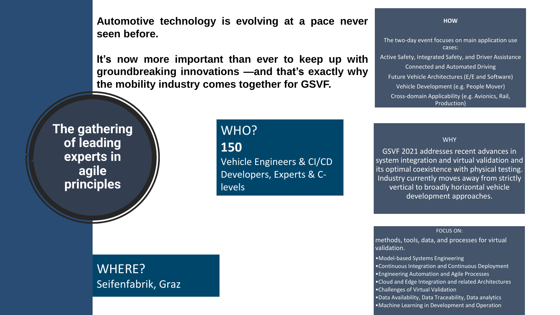**Automotive technology is evolving at a pace never seen before.**

**It's now more important than ever to keep up with groundbreaking innovations —and that's exactly why the mobility industry comes together for GSVF.**

**The gathering of leading experts in agile principles**

## WHO? **150**

Vehicle Engineers & CI/CD Developers, Experts & C**levels** 

The two-day event focuses on main application use cases: Active Safety, Integrated Safety, and Driver Assistance Connected and Automated Driving Future Vehicle Architectures (E/E and Software) Vehicle Development (e.g. People Mover) Cross-domain Applicability (e.g. Avionics, Rail, Production)

**HOW**

**WHY** 

GSVF 2021 addresses recent advances in system integration and virtual validation and its optimal coexistence with physical testing. Industry currently moves away from strictly vertical to broadly horizontal vehicle development approaches.

#### FOCUS ON:

methods, tools, data, and processes for virtual validation.

•Model-based Systems Engineering •Continuous Integration and Continuous Deployment •Engineering Automation and Agile Processes •Cloud and Edge Integration and related Architectures •Challenges of Virtual Validation •Data Availability, Data Traceability, Data analytics •Machine Learning in Development and Operation

#### WHERE? Seifenfabrik, Graz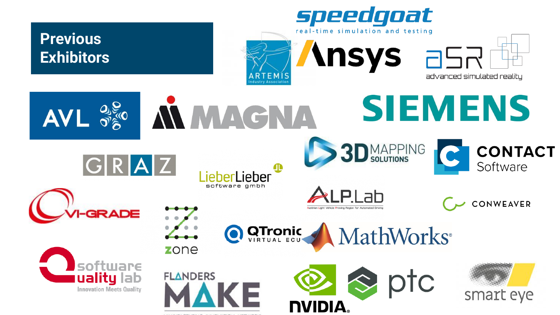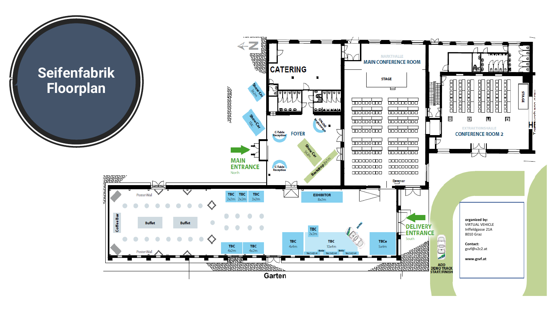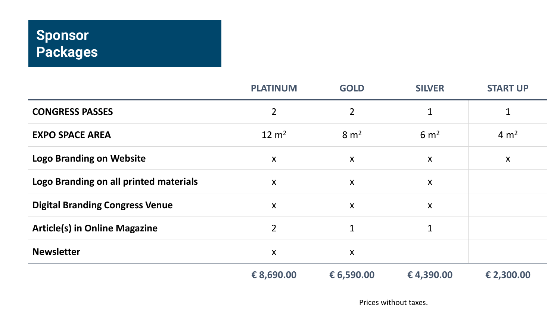## **Sponsor Packages**

|                                        | <b>PLATINUM</b>           | <b>GOLD</b>               | <b>SILVER</b>             | <b>START UP</b>  |
|----------------------------------------|---------------------------|---------------------------|---------------------------|------------------|
| <b>CONGRESS PASSES</b>                 | $\overline{2}$            | $\overline{2}$            | 1                         | 1                |
| <b>EXPO SPACE AREA</b>                 | $12 \text{ m}^2$          | 8 m <sup>2</sup>          | 6 m <sup>2</sup>          | 4 m <sup>2</sup> |
| <b>Logo Branding on Website</b>        | $\boldsymbol{\mathsf{X}}$ | X                         | $\boldsymbol{X}$          | X                |
| Logo Branding on all printed materials | $\boldsymbol{\mathsf{X}}$ | X                         | X                         |                  |
| <b>Digital Branding Congress Venue</b> | $\boldsymbol{\mathsf{X}}$ | $\boldsymbol{\mathsf{X}}$ | $\boldsymbol{\mathsf{X}}$ |                  |
| <b>Article(s) in Online Magazine</b>   | $\overline{2}$            | $\mathbf{1}$              | 1                         |                  |
| <b>Newsletter</b>                      | $\boldsymbol{\mathsf{X}}$ | X                         |                           |                  |
|                                        | € 8,690.00                | € 6,590.00                | €4,390.00                 | € 2,300.00       |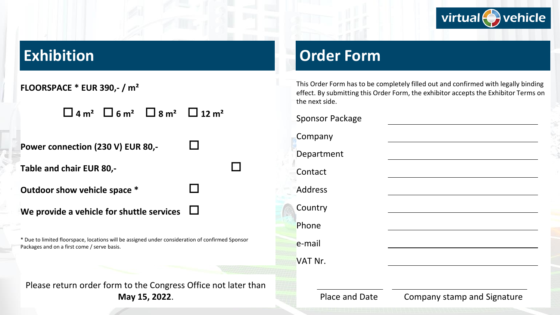

## **Exhibition**

| FLOORSPACE * EUR 390,- / m <sup>2</sup>                                                                                                         |  |  |  |  |
|-------------------------------------------------------------------------------------------------------------------------------------------------|--|--|--|--|
| $\Box$ 4 m <sup>2</sup> $\Box$ 6 m <sup>2</sup> $\Box$ 8 m <sup>2</sup> $\Box$ 12 m <sup>2</sup>                                                |  |  |  |  |
| Power connection (230 V) EUR 80,-                                                                                                               |  |  |  |  |
| Table and chair EUR 80,-                                                                                                                        |  |  |  |  |
| Outdoor show vehicle space *                                                                                                                    |  |  |  |  |
| We provide a vehicle for shuttle services                                                                                                       |  |  |  |  |
| * Due to limited floorspace, locations will be assigned under consideration of confirmed Sponsor<br>Packages and on a first come / serve basis. |  |  |  |  |
|                                                                                                                                                 |  |  |  |  |

#### Please return order form to the Congress Office not later than **May 15, 2022**.

## **Order Form**

This Order Form has to be completely filled out and confirmed with legally binding effect. By submitting this Order Form, the exhibitor accepts the Exhibitor Terms on the next side.

| <b>Sponsor Package</b> |  |
|------------------------|--|
| Company                |  |
| Department             |  |
| Contact                |  |
| <b>Address</b>         |  |
| Country                |  |
| Phone                  |  |
| e-mail                 |  |
| VAT Nr.                |  |
|                        |  |

Place and Date Company stamp and Signature